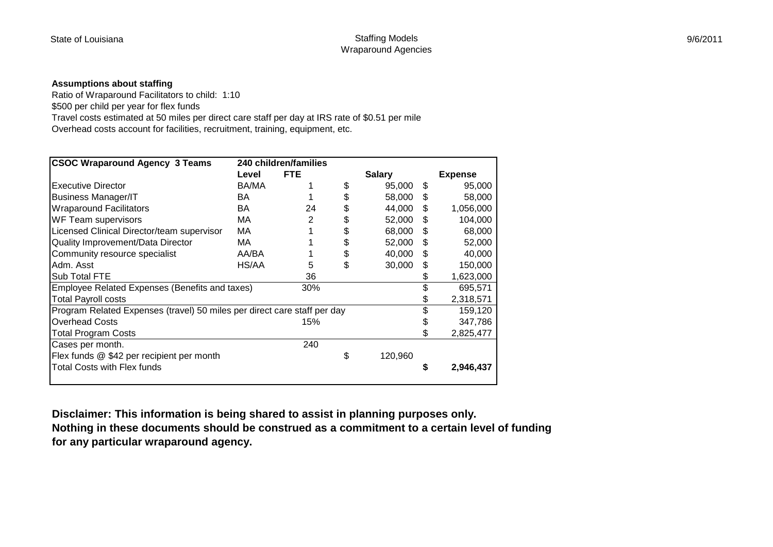## **Assumptions about staffing**

Ratio of Wraparound Facilitators to child: 1:10

\$500 per child per year for flex funds

Travel costs estimated at 50 miles per direct care staff per day at IRS rate of \$0.51 per mile

Overhead costs account for facilities, recruitment, training, equipment, etc.

| <b>CSOC Wraparound Agency 3 Teams</b>                                    | 240 children/families |            |    |               |    |                |  |  |
|--------------------------------------------------------------------------|-----------------------|------------|----|---------------|----|----------------|--|--|
|                                                                          | Level                 | <b>FTE</b> |    | <b>Salary</b> |    | <b>Expense</b> |  |  |
| <b>Executive Director</b>                                                | BA/MA                 |            | \$ | 95,000        | S. | 95,000         |  |  |
| <b>Business Manager/IT</b>                                               | BA                    |            | \$ | 58,000        | \$ | 58,000         |  |  |
| <b>Wraparound Facilitators</b>                                           | BA                    | 24         | \$ | 44,000        | \$ | 1,056,000      |  |  |
| WF Team supervisors                                                      | MA                    | 2          | \$ | 52,000        | \$ | 104,000        |  |  |
| Licensed Clinical Director/team supervisor                               | MA                    |            | \$ | 68,000        | \$ | 68,000         |  |  |
| Quality Improvement/Data Director                                        | МA                    |            | \$ | 52,000        | S  | 52,000         |  |  |
| Community resource specialist                                            | AA/BA                 |            | \$ | 40,000        | S  | 40,000         |  |  |
| Adm. Asst                                                                | HS/AA                 | 5          | \$ | 30,000        | S  | 150,000        |  |  |
| Sub Total FTE                                                            |                       | 36         |    |               |    | 1,623,000      |  |  |
| Employee Related Expenses (Benefits and taxes)                           |                       | 30%        |    |               |    | 695,571        |  |  |
| Total Payroll costs                                                      |                       |            |    |               | \$ | 2,318,571      |  |  |
| Program Related Expenses (travel) 50 miles per direct care staff per day |                       |            |    |               | \$ | 159,120        |  |  |
| <b>Overhead Costs</b>                                                    |                       | 15%        |    |               |    | 347,786        |  |  |
| <b>Total Program Costs</b>                                               |                       |            |    |               | \$ | 2,825,477      |  |  |
| Cases per month.                                                         |                       | 240        |    |               |    |                |  |  |
| Flex funds @ \$42 per recipient per month                                |                       |            | \$ | 120,960       |    |                |  |  |
| Total Costs with Flex funds                                              |                       |            |    |               | \$ | 2,946,437      |  |  |

**Disclaimer: This information is being shared to assist in planning purposes only. Nothing in these documents should be construed as a commitment to a certain level of funding for any particular wraparound agency.**